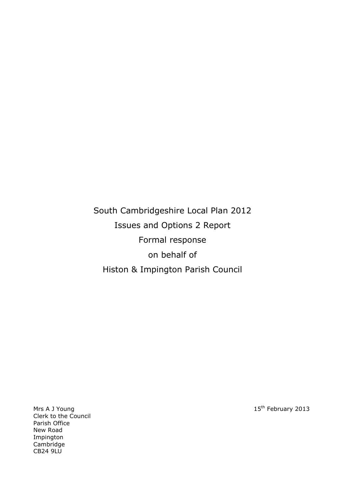South Cambridgeshire Local Plan 2012 Issues and Options 2 Report Formal response on behalf of Histon & Impington Parish Council

Clerk to the Council Parish Office New Road Impington Cambridge CB24 9LU

Mrs A J Young 15<sup>th</sup> February 2013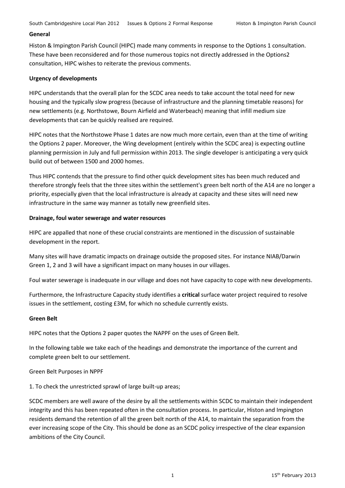### **General**

Histon & Impington Parish Council (HIPC) made many comments in response to the Options 1 consultation. These have been reconsidered and for those numerous topics not directly addressed in the Options2 consultation, HIPC wishes to reiterate the previous comments.

### **Urgency of developments**

HIPC understands that the overall plan for the SCDC area needs to take account the total need for new housing and the typically slow progress (because of infrastructure and the planning timetable reasons) for new settlements (e.g. Northstowe, Bourn Airfield and Waterbeach) meaning that infill medium size developments that can be quickly realised are required.

HIPC notes that the Northstowe Phase 1 dates are now much more certain, even than at the time of writing the Options 2 paper. Moreover, the Wing development (entirely within the SCDC area) is expecting outline planning permission in July and full permission within 2013. The single developer is anticipating a very quick build out of between 1500 and 2000 homes.

Thus HIPC contends that the pressure to find other quick development sites has been much reduced and therefore strongly feels that the three sites within the settlement's green belt north of the A14 are no longer a priority, especially given that the local infrastructure is already at capacity and these sites will need new infrastructure in the same way manner as totally new greenfield sites.

#### **Drainage, foul water sewerage and water resources**

HIPC are appalled that none of these crucial constraints are mentioned in the discussion of sustainable development in the report.

Many sites will have dramatic impacts on drainage outside the proposed sites. For instance NIAB/Darwin Green 1, 2 and 3 will have a significant impact on many houses in our villages.

Foul water sewerage is inadequate in our village and does not have capacity to cope with new developments.

Furthermore, the Infrastructure Capacity study identifies a **critical** surface water project required to resolve issues in the settlement, costing £3M, for which no schedule currently exists.

#### **Green Belt**

HIPC notes that the Options 2 paper quotes the NAPPF on the uses of Green Belt.

In the following table we take each of the headings and demonstrate the importance of the current and complete green belt to our settlement.

Green Belt Purposes in NPPF

1. To check the unrestricted sprawl of large built-up areas;

SCDC members are well aware of the desire by all the settlements within SCDC to maintain their independent integrity and this has been repeated often in the consultation process. In particular, Histon and Impington residents demand the retention of all the green belt north of the A14, to maintain the separation from the ever increasing scope of the City. This should be done as an SCDC policy irrespective of the clear expansion ambitions of the City Council.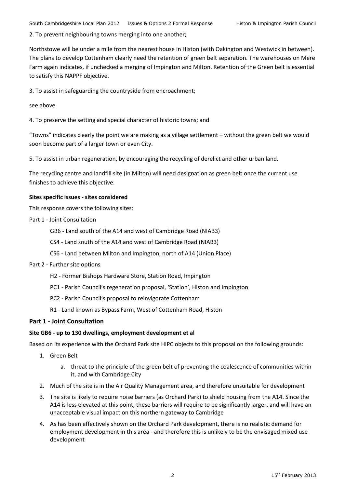2. To prevent neighbouring towns merging into one another;

Northstowe will be under a mile from the nearest house in Histon (with Oakington and Westwick in between). The plans to develop Cottenham clearly need the retention of green belt separation. The warehouses on Mere Farm again indicates, if unchecked a merging of Impington and Milton. Retention of the Green belt is essential to satisfy this NAPPF objective.

3. To assist in safeguarding the countryside from encroachment;

see above

4. To preserve the setting and special character of historic towns; and

"Towns" indicates clearly the point we are making as a village settlement – without the green belt we would soon become part of a larger town or even City.

5. To assist in urban regeneration, by encouraging the recycling of derelict and other urban land.

The recycling centre and landfill site (in Milton) will need designation as green belt once the current use finishes to achieve this objective.

### **Sites specific issues - sites considered**

This response covers the following sites:

- Part 1 Joint Consultation
	- GB6 Land south of the A14 and west of Cambridge Road (NIAB3)
	- CS4 Land south of the A14 and west of Cambridge Road (NIAB3)
	- CS6 Land between Milton and Impington, north of A14 (Union Place)
- Part 2 Further site options
	- H2 Former Bishops Hardware Store, Station Road, Impington
	- PC1 Parish Council's regeneration proposal, 'Station', Histon and Impington
	- PC2 Parish Council's proposal to reinvigorate Cottenham
	- R1 Land known as Bypass Farm, West of Cottenham Road, Histon

### **Part 1 - Joint Consultation**

### **Site GB6 - up to 130 dwellings, employment development et al**

Based on its experience with the Orchard Park site HIPC objects to this proposal on the following grounds:

- 1. Green Belt
	- a. threat to the principle of the green belt of preventing the coalescence of communities within it, and with Cambridge City
- 2. Much of the site is in the Air Quality Management area, and therefore unsuitable for development
- 3. The site is likely to require noise barriers (as Orchard Park) to shield housing from the A14. Since the A14 is less elevated at this point, these barriers will require to be significantly larger, and will have an unacceptable visual impact on this northern gateway to Cambridge
- 4. As has been effectively shown on the Orchard Park development, there is no realistic demand for employment development in this area - and therefore this is unlikely to be the envisaged mixed use development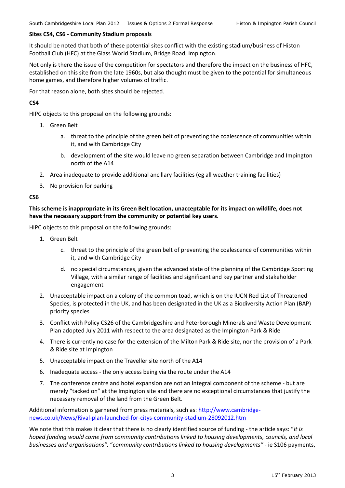### **Sites CS4, CS6 - Community Stadium proposals**

It should be noted that both of these potential sites conflict with the existing stadium/business of Histon Football Club (HFC) at the Glass World Stadium, Bridge Road, Impington.

Not only is there the issue of the competition for spectators and therefore the impact on the business of HFC, established on this site from the late 1960s, but also thought must be given to the potential for simultaneous home games, and therefore higher volumes of traffic.

For that reason alone, both sites should be rejected.

# **CS4**

HIPC objects to this proposal on the following grounds:

- 1. Green Belt
	- a. threat to the principle of the green belt of preventing the coalescence of communities within it, and with Cambridge City
	- b. development of the site would leave no green separation between Cambridge and Impington north of the A14
- 2. Area inadequate to provide additional ancillary facilities (eg all weather training facilities)
- 3. No provision for parking

## **CS6**

**This scheme is inappropriate in its Green Belt location, unacceptable for its impact on wildlife, does not have the necessary support from the community or potential key users.**

HIPC objects to this proposal on the following grounds:

- 1. Green Belt
	- c. threat to the principle of the green belt of preventing the coalescence of communities within it, and with Cambridge City
	- d. no special circumstances, given the advanced state of the planning of the Cambridge Sporting Village, with a similar range of facilities and significant and key partner and stakeholder engagement
- 2. Unacceptable impact on a colony of the common toad, which is on the IUCN Red List of Threatened Species, is protected in the UK, and has been designated in the UK as a Biodiversity Action Plan (BAP) priority species
- 3. Conflict with Policy CS26 of the Cambridgeshire and Peterborough Minerals and Waste Development Plan adopted July 2011 with respect to the area designated as the Impington Park & Ride
- 4. There is currently no case for the extension of the Milton Park & Ride site, nor the provision of a Park & Ride site at Impington
- 5. Unacceptable impact on the Traveller site north of the A14
- 6. Inadequate access the only access being via the route under the A14
- 7. The conference centre and hotel expansion are not an integral component of the scheme but are merely "tacked on" at the Impington site and there are no exceptional circumstances that justify the necessary removal of the land from the Green Belt.

Additional information is garnered from press materials, such as: [http://www.cambridge](http://www.cambridge-news.co.uk/News/Rival-plan-launched-for-citys-community-stadium-28092012.htm)[news.co.uk/News/Rival-plan-launched-for-citys-community-stadium-28092012.htm](http://www.cambridge-news.co.uk/News/Rival-plan-launched-for-citys-community-stadium-28092012.htm)

We note that this makes it clear that there is no clearly identified source of funding - the article says: "*It is hoped funding would come from community contributions linked to housing developments, councils, and local businesses and organisations".* "*community contributions linked to housing developments"* - ie S106 payments,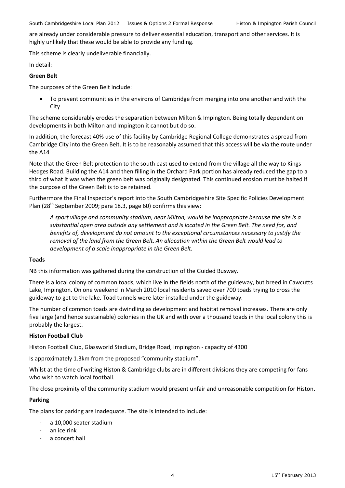are already under considerable pressure to deliver essential education, transport and other services. It is highly unlikely that these would be able to provide any funding.

This scheme is clearly undeliverable financially.

In detail:

## **Green Belt**

The purposes of the Green Belt include:

 To prevent communities in the environs of Cambridge from merging into one another and with the **City** 

The scheme considerably erodes the separation between Milton & Impington. Being totally dependent on developments in both Milton and Impington it cannot but do so.

In addition, the forecast 40% use of this facility by Cambridge Regional College demonstrates a spread from Cambridge City into the Green Belt. It is to be reasonably assumed that this access will be via the route under the A14

Note that the Green Belt protection to the south east used to extend from the village all the way to Kings Hedges Road. Building the A14 and then filling in the Orchard Park portion has already reduced the gap to a third of what it was when the green belt was originally designated. This continued erosion must be halted if the purpose of the Green Belt is to be retained.

Furthermore the Final Inspector's report into the South Cambridgeshire Site Specific Policies Development Plan (28<sup>th</sup> September 2009; para 18.3, page 60) confirms this view:

*A sport village and community stadium, near Milton, would be inappropriate because the site is a substantial open area outside any settlement and is located in the Green Belt. The need for, and benefits of, development do not amount to the exceptional circumstances necessary to justify the removal of the land from the Green Belt. An allocation within the Green Belt would lead to development of a scale inappropriate in the Green Belt.*

### **Toads**

NB this information was gathered during the construction of the Guided Busway.

There is a local colony of common toads, which live in the fields north of the guideway, but breed in Cawcutts Lake, Impington. On one weekend in March 2010 local residents saved over 700 toads trying to cross the guideway to get to the lake. Toad tunnels were later installed under the guideway.

The number of common toads are dwindling as development and habitat removal increases. There are only five large (and hence sustainable) colonies in the UK and with over a thousand toads in the local colony this is probably the largest.

### **Histon Football Club**

Histon Football Club, Glassworld Stadium, Bridge Road, Impington - capacity of 4300

Is approximately 1.3km from the proposed "community stadium".

Whilst at the time of writing Histon & Cambridge clubs are in different divisions they are competing for fans who wish to watch local football.

The close proximity of the community stadium would present unfair and unreasonable competition for Histon.

### **Parking**

The plans for parking are inadequate. The site is intended to include:

- a 10,000 seater stadium
- an ice rink
- a concert hall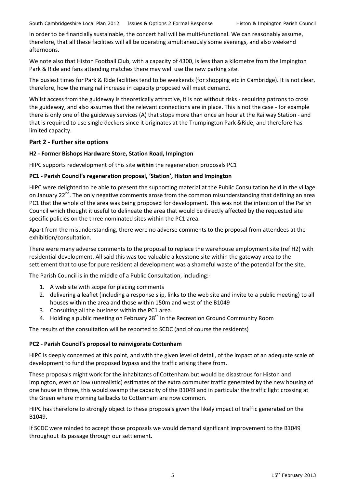In order to be financially sustainable, the concert hall will be multi-functional. We can reasonably assume, therefore, that all these facilities will all be operating simultaneously some evenings, and also weekend afternoons.

We note also that Histon Football Club, with a capacity of 4300, is less than a kilometre from the Impington Park & Ride and fans attending matches there may well use the new parking site.

The busiest times for Park & Ride facilities tend to be weekends (for shopping etc in Cambridge). It is not clear, therefore, how the marginal increase in capacity proposed will meet demand.

Whilst access from the guideway is theoretically attractive, it is not without risks - requiring patrons to cross the guideway, and also assumes that the relevant connections are in place. This is not the case - for example there is only one of the guideway services (A) that stops more than once an hour at the Railway Station - and that is required to use single deckers since it originates at the Trumpington Park &Ride, and therefore has limited capacity.

# **Part 2 - Further site options**

## **H2 - Former Bishops Hardware Store, Station Road, Impington**

HIPC supports redevelopment of this site **within** the regeneration proposals PC1

## **PC1 - Parish Council's regeneration proposal, 'Station', Histon and Impington**

HIPC were delighted to be able to present the supporting material at the Public Consultation held in the village on January 22<sup>nd</sup>. The only negative comments arose from the common misunderstanding that defining an area PC1 that the whole of the area was being proposed for development. This was not the intention of the Parish Council which thought it useful to delineate the area that would be directly affected by the requested site specific policies on the three nominated sites within the PC1 area.

Apart from the misunderstanding, there were no adverse comments to the proposal from attendees at the exhibition/consultation.

There were many adverse comments to the proposal to replace the warehouse employment site (ref H2) with residential development. All said this was too valuable a keystone site within the gateway area to the settlement that to use for pure residential development was a shameful waste of the potential for the site.

The Parish Council is in the middle of a Public Consultation, including:-

- 1. A web site with scope for placing comments
- 2. delivering a leaflet (including a response slip, links to the web site and invite to a public meeting) to all houses within the area and those within 150m and west of the B1049
- 3. Consulting all the business within the PC1 area
- 4. Holding a public meeting on February 28<sup>th</sup> in the Recreation Ground Community Room

The results of the consultation will be reported to SCDC (and of course the residents)

### **PC2 - Parish Council's proposal to reinvigorate Cottenham**

HIPC is deeply concerned at this point, and with the given level of detail, of the impact of an adequate scale of development to fund the proposed bypass and the traffic arising there from.

These proposals might work for the inhabitants of Cottenham but would be disastrous for Histon and Impington, even on low (unrealistic) estimates of the extra commuter traffic generated by the new housing of one house in three, this would swamp the capacity of the B1049 and in particular the traffic light crossing at the Green where morning tailbacks to Cottenham are now common.

HIPC has therefore to strongly object to these proposals given the likely impact of traffic generated on the B1049.

If SCDC were minded to accept those proposals we would demand significant improvement to the B1049 throughout its passage through our settlement.